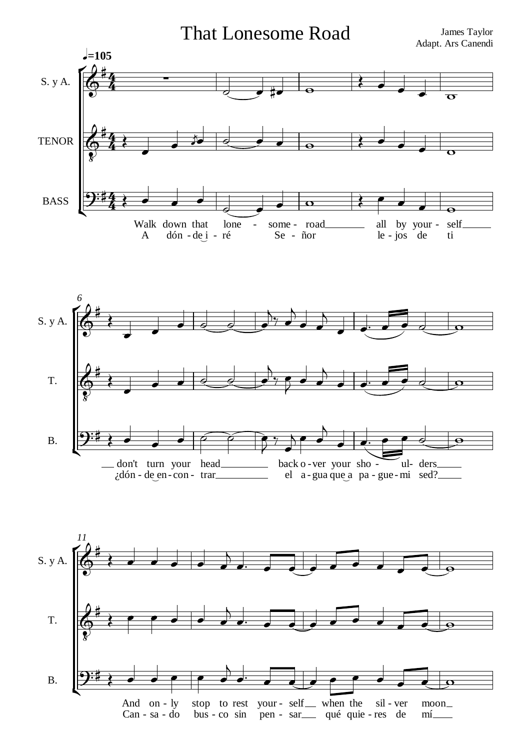**That Lonesome Road** 

James Taylor Adapt. Ars Canendi





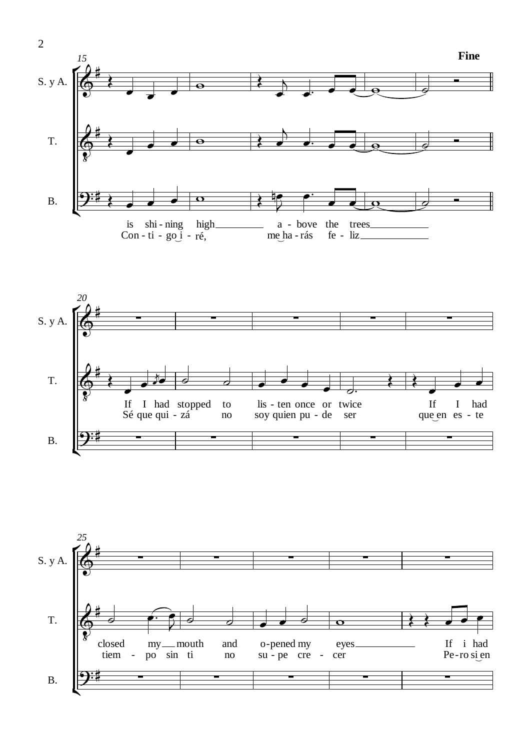